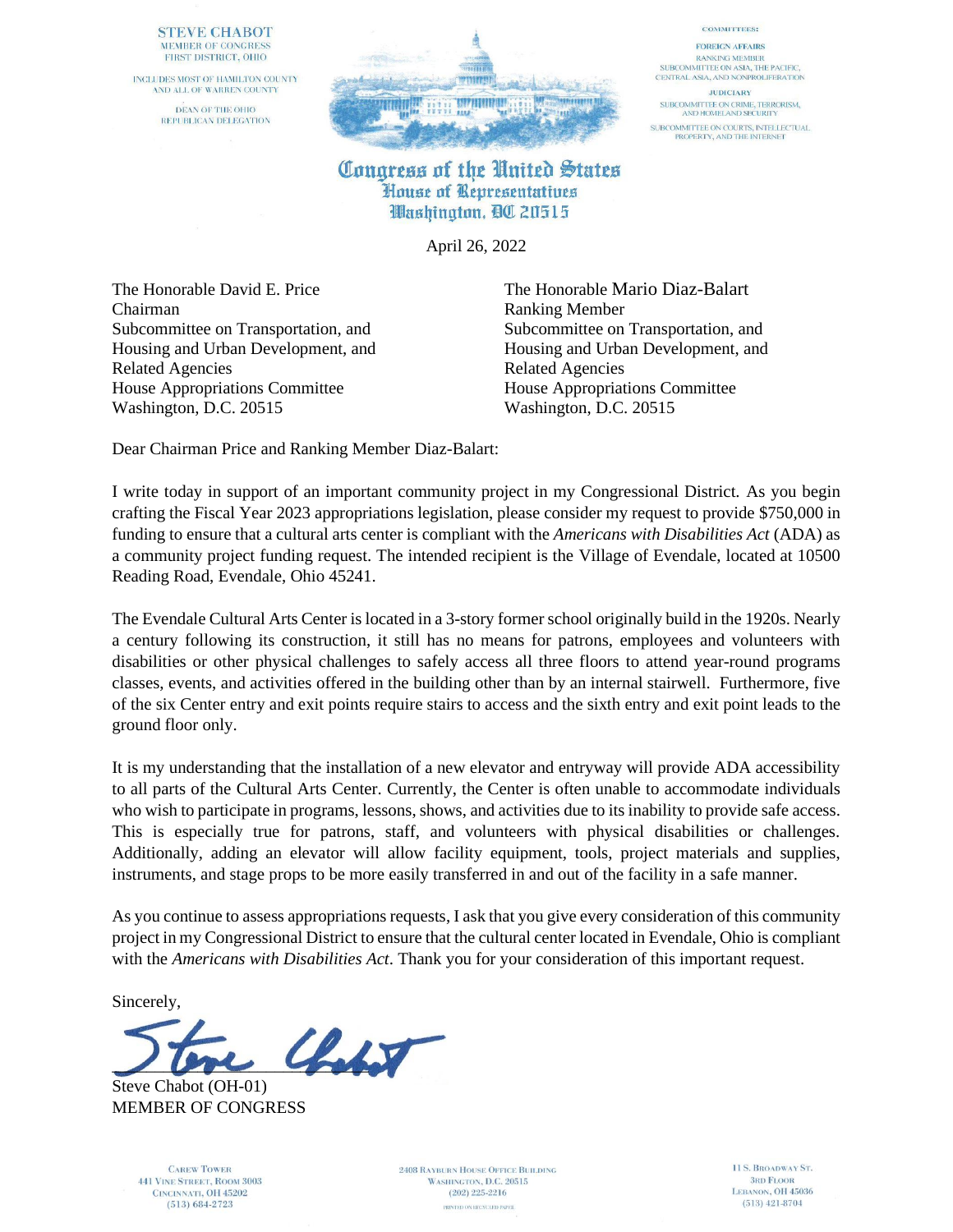### **STEVE CHABOT** MEMBER OF CONGRESS FIRST DISTRICT, OHIO

INCLUDES MOST OF HAMILTON COUNTY AND ALL OF WARREN COUNTY DEAN OF THE OHIO REPUBLICAN DELEGATION



### **COMMITTEES:**

**FOREIGN AFFAIRS RANKING MEMBER** SUBCOMMITTEE ON ASIA, THE PACIFIC, CENTRAL ASIA, AND NONPROLIFERATION

**JUDICIARY** SUBCOMMITTEE ON CRIME, TERRORISM,<br>AND HOMELAND SECURITY SUBCOMMITTEE ON COURTS, INTELLECTUAL<br>PROPERTY, AND THE INTERNET

## Congress of the United States House of Representatives Washington, QC 20515

April 26, 2022

The Honorable David E. Price The Honorable Mario Diaz-Balart Chairman Ranking Member Related Agencies Related Agencies House Appropriations Committee House Appropriations Committee Washington, D.C. 20515 Washington, D.C. 20515

Subcommittee on Transportation, and Subcommittee on Transportation, and Housing and Urban Development, and Housing and Urban Development, and

Dear Chairman Price and Ranking Member Diaz-Balart:

I write today in support of an important community project in my Congressional District. As you begin crafting the Fiscal Year 2023 appropriations legislation, please consider my request to provide \$750,000 in funding to ensure that a cultural arts center is compliant with the *Americans with Disabilities Act* (ADA) as a community project funding request. The intended recipient is the Village of Evendale, located at 10500 Reading Road, Evendale, Ohio 45241.

The Evendale Cultural Arts Center is located in a 3-story former school originally build in the 1920s. Nearly a century following its construction, it still has no means for patrons, employees and volunteers with disabilities or other physical challenges to safely access all three floors to attend year-round programs classes, events, and activities offered in the building other than by an internal stairwell. Furthermore, five of the six Center entry and exit points require stairs to access and the sixth entry and exit point leads to the ground floor only.

It is my understanding that the installation of a new elevator and entryway will provide ADA accessibility to all parts of the Cultural Arts Center. Currently, the Center is often unable to accommodate individuals who wish to participate in programs, lessons, shows, and activities due to its inability to provide safe access. This is especially true for patrons, staff, and volunteers with physical disabilities or challenges. Additionally, adding an elevator will allow facility equipment, tools, project materials and supplies, instruments, and stage props to be more easily transferred in and out of the facility in a safe manner.

As you continue to assess appropriations requests, I ask that you give every consideration of this community project in my Congressional District to ensure that the cultural center located in Evendale, Ohio is compliant with the *Americans with Disabilities Act*. Thank you for your consideration of this important request.

Sincerely,

 $\mathcal{L}_{\mathcal{N}}$ 

Steve Chabot (OH-01) MEMBER OF CONGRESS

> **CAREW TOWER 441 VINE STREET, ROOM 3003** CINCINNATI, OH 45202  $(513) 684 - 2723$

**2408 RAYBURN HOUSE OFFICE BUILDING** WASHINGTON, D.C. 20515  $(202)$  225-2216 PRINTED ON RECYCLED PAPER.

11 S. BROADWAY ST. **3RD FLOOR** LEBANON, OH 45036  $(513)$  421-8704